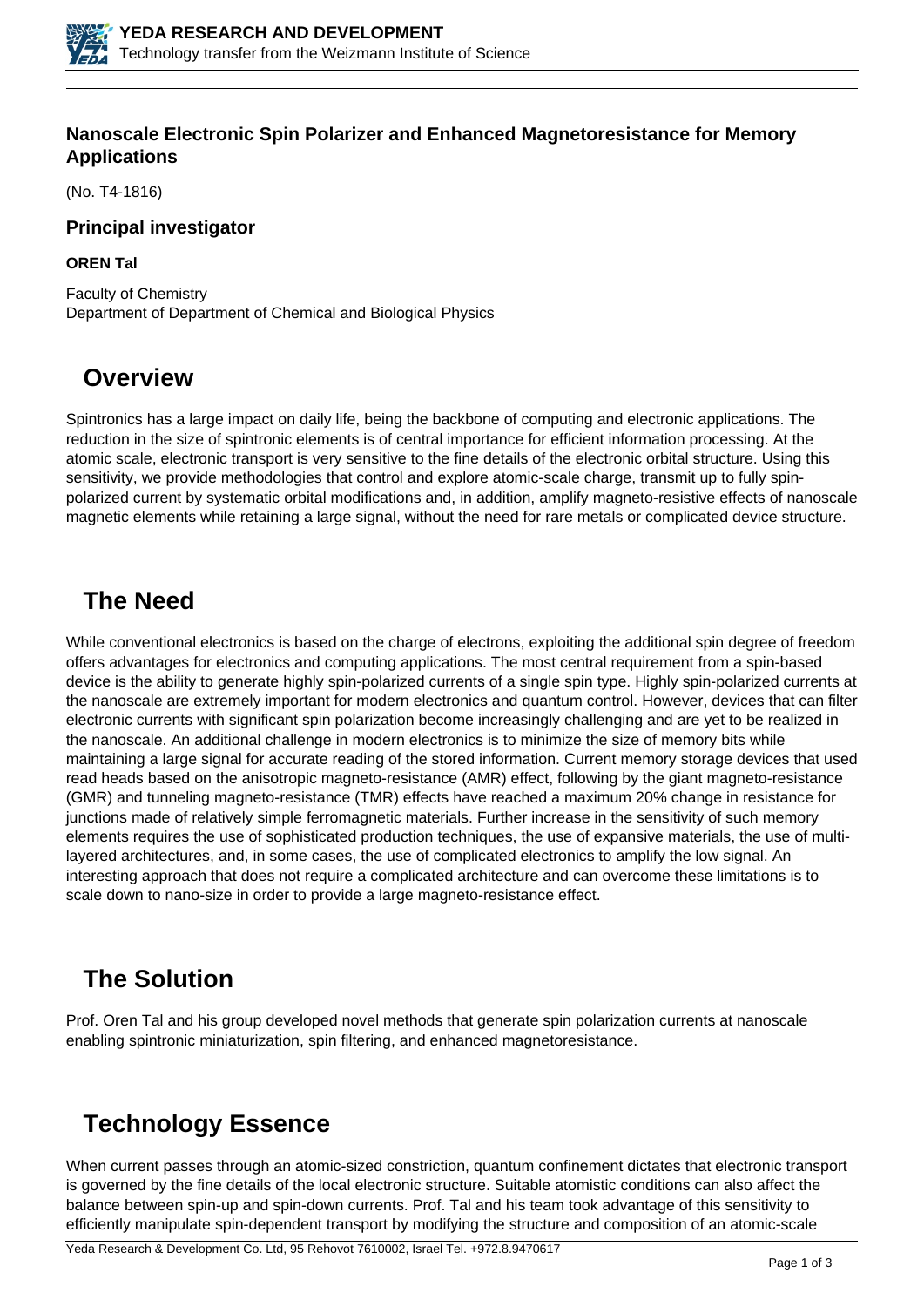

### **Nanoscale Electronic Spin Polarizer and Enhanced Magnetoresistance for Memory Applications**

(No. T4-1816)

#### **Principal investigator**

#### **OREN Tal**

Faculty of Chemistry Department of Department of Chemical and Biological Physics

## **Overview**

Spintronics has a large impact on daily life, being the backbone of computing and electronic applications. The reduction in the size of spintronic elements is of central importance for efficient information processing. At the atomic scale, electronic transport is very sensitive to the fine details of the electronic orbital structure. Using this sensitivity, we provide methodologies that control and explore atomic-scale charge, transmit up to fully spinpolarized current by systematic orbital modifications and, in addition, amplify magneto-resistive effects of nanoscale magnetic elements while retaining a large signal, without the need for rare metals or complicated device structure.

## **The Need**

While conventional electronics is based on the charge of electrons, exploiting the additional spin degree of freedom offers advantages for electronics and computing applications. The most central requirement from a spin-based device is the ability to generate highly spin-polarized currents of a single spin type. Highly spin-polarized currents at the nanoscale are extremely important for modern electronics and quantum control. However, devices that can filter electronic currents with significant spin polarization become increasingly challenging and are yet to be realized in the nanoscale. An additional challenge in modern electronics is to minimize the size of memory bits while maintaining a large signal for accurate reading of the stored information. Current memory storage devices that used read heads based on the anisotropic magneto-resistance (AMR) effect, following by the giant magneto-resistance (GMR) and tunneling magneto-resistance (TMR) effects have reached a maximum 20% change in resistance for junctions made of relatively simple ferromagnetic materials. Further increase in the sensitivity of such memory elements requires the use of sophisticated production techniques, the use of expansive materials, the use of multilayered architectures, and, in some cases, the use of complicated electronics to amplify the low signal. An interesting approach that does not require a complicated architecture and can overcome these limitations is to scale down to nano-size in order to provide a large magneto-resistance effect.

## **The Solution**

Prof. Oren Tal and his group developed novel methods that generate spin polarization currents at nanoscale enabling spintronic miniaturization, spin filtering, and enhanced magnetoresistance.

## **Technology Essence**

When current passes through an atomic-sized constriction, quantum confinement dictates that electronic transport is governed by the fine details of the local electronic structure. Suitable atomistic conditions can also affect the balance between spin-up and spin-down currents. Prof. Tal and his team took advantage of this sensitivity to efficiently manipulate spin-dependent transport by modifying the structure and composition of an atomic-scale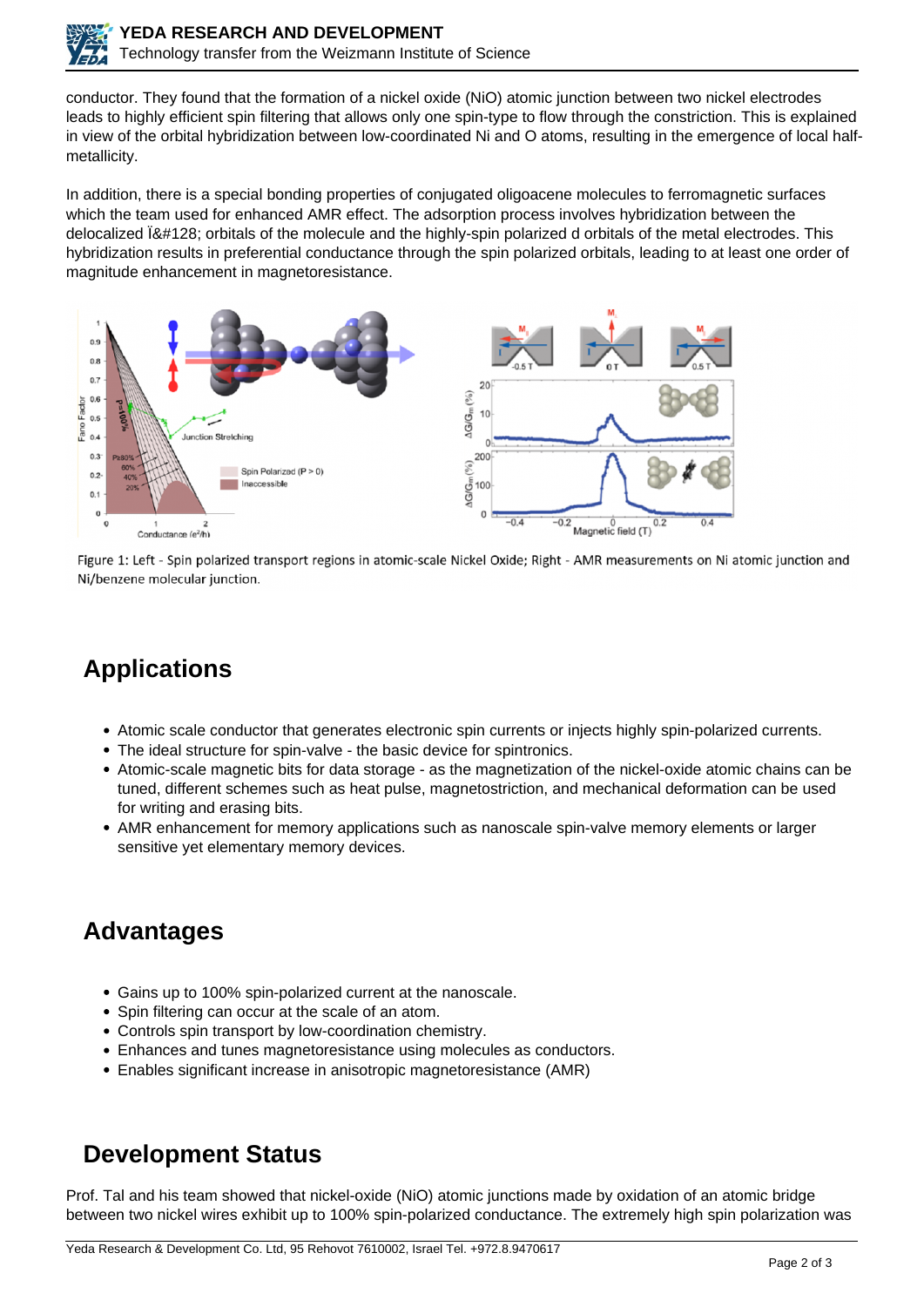

conductor. They found that the formation of a nickel oxide (NiO) atomic junction between two nickel electrodes leads to highly efficient spin filtering that allows only one spin-type to flow through the constriction. This is explained in view of the orbital hybridization between low-coordinated Ni and O atoms, resulting in the emergence of local halfmetallicity.

In addition, there is a special bonding properties of conjugated oligoacene molecules to ferromagnetic surfaces which the team used for enhanced AMR effect. The adsorption process involves hybridization between the delocalized  $\ddot{B}$  (attitudes) orbitals of the molecule and the highly-spin polarized d orbitals of the metal electrodes. This hybridization results in preferential conductance through the spin polarized orbitals, leading to at least one order of magnitude enhancement in magnetoresistance.



Figure 1: Left - Spin polarized transport regions in atomic-scale Nickel Oxide; Right - AMR measurements on Ni atomic junction and Ni/benzene molecular junction.

# **Applications**

- Atomic scale conductor that generates electronic spin currents or injects highly spin-polarized currents.
- The ideal structure for spin-valve the basic device for spintronics.
- Atomic-scale magnetic bits for data storage as the magnetization of the nickel-oxide atomic chains can be tuned, different schemes such as heat pulse, magnetostriction, and mechanical deformation can be used for writing and erasing bits.
- AMR enhancement for memory applications such as nanoscale spin-valve memory elements or larger sensitive yet elementary memory devices.

## **Advantages**

- Gains up to 100% spin-polarized current at the nanoscale.
- Spin filtering can occur at the scale of an atom.
- Controls spin transport by low-coordination chemistry.
- Enhances and tunes magnetoresistance using molecules as conductors.
- Enables significant increase in anisotropic magnetoresistance (AMR)

## **Development Status**

Prof. Tal and his team showed that nickel-oxide (NiO) atomic junctions made by oxidation of an atomic bridge between two nickel wires exhibit up to 100% spin-polarized conductance. The extremely high spin polarization was